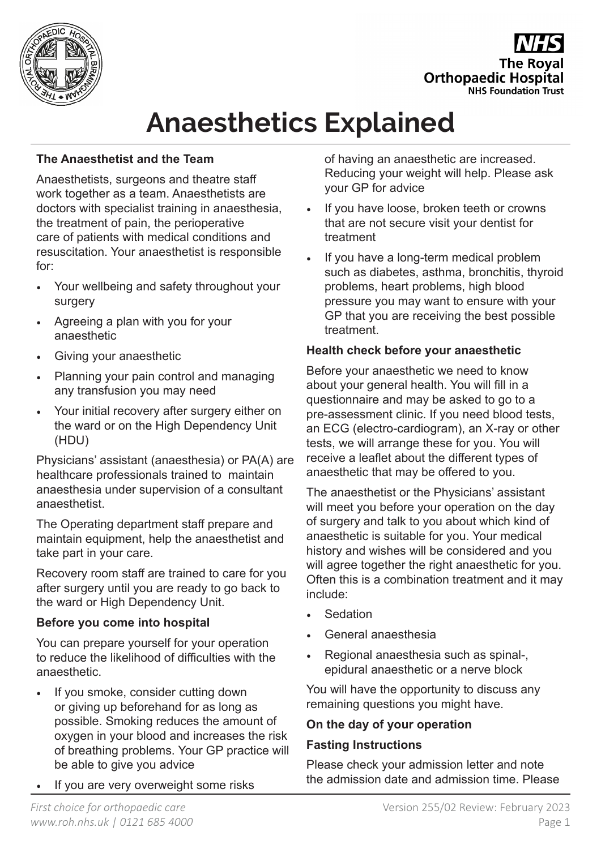

**The Roval Orthopaedic Hospital NHS Foundation Trust** 

# **Anaesthetics Explained**

# **The Anaesthetist and the Team**

Anaesthetists, surgeons and theatre staff work together as a team. Anaesthetists are doctors with specialist training in anaesthesia, the treatment of pain, the perioperative care of patients with medical conditions and resuscitation. Your anaesthetist is responsible for:

- Your wellbeing and safety throughout your surgery
- Agreeing a plan with you for your anaesthetic
- Giving your anaesthetic
- Planning your pain control and managing any transfusion you may need
- Your initial recovery after surgery either on the ward or on the High Dependency Unit (HDU)

Physicians' assistant (anaesthesia) or PA(A) are healthcare professionals trained to maintain anaesthesia under supervision of a consultant anaesthetist.

The Operating department staff prepare and maintain equipment, help the anaesthetist and take part in your care.

Recovery room staff are trained to care for you after surgery until you are ready to go back to the ward or High Dependency Unit.

# **Before you come into hospital**

You can prepare yourself for your operation to reduce the likelihood of difficulties with the anaesthetic.

- If you smoke, consider cutting down or giving up beforehand for as long as possible. Smoking reduces the amount of oxygen in your blood and increases the risk of breathing problems. Your GP practice will be able to give you advice
- If you are very overweight some risks

of having an anaesthetic are increased. Reducing your weight will help. Please ask your GP for advice

- If you have loose, broken teeth or crowns that are not secure visit your dentist for treatment
- If you have a long-term medical problem such as diabetes, asthma, bronchitis, thyroid problems, heart problems, high blood pressure you may want to ensure with your GP that you are receiving the best possible treatment.

# **Health check before your anaesthetic**

Before your anaesthetic we need to know about your general health. You will fill in a questionnaire and may be asked to go to a pre-assessment clinic. If you need blood tests, an ECG (electro-cardiogram), an X-ray or other tests, we will arrange these for you. You will receive a leaflet about the different types of anaesthetic that may be offered to you.

The anaesthetist or the Physicians' assistant will meet you before your operation on the day of surgery and talk to you about which kind of anaesthetic is suitable for you. Your medical history and wishes will be considered and you will agree together the right anaesthetic for you. Often this is a combination treatment and it may include:

- **Sedation**
- General anaesthesia
- Regional anaesthesia such as spinal-, epidural anaesthetic or a nerve block

You will have the opportunity to discuss any remaining questions you might have.

# **On the day of your operation**

# **Fasting Instructions**

Please check your admission letter and note the admission date and admission time. Please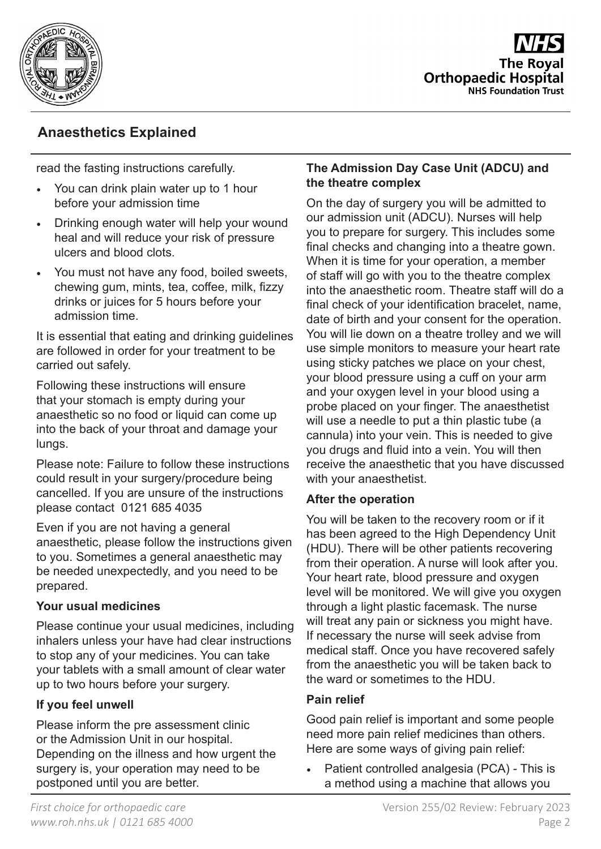

**The Roval Orthopaedic Hospital NHS Foundation Trust** 

# **Anaesthetics Explained**

read the fasting instructions carefully.

- You can drink plain water up to 1 hour before your admission time
- Drinking enough water will help your wound heal and will reduce your risk of pressure ulcers and blood clots.
- You must not have any food, boiled sweets, chewing gum, mints, tea, coffee, milk, fizzy drinks or juices for 5 hours before your admission time.

It is essential that eating and drinking guidelines are followed in order for your treatment to be carried out safely.

Following these instructions will ensure that your stomach is empty during your anaesthetic so no food or liquid can come up into the back of your throat and damage your lungs.

Please note: Failure to follow these instructions could result in your surgery/procedure being cancelled. If you are unsure of the instructions please contact 0121 685 4035

Even if you are not having a general anaesthetic, please follow the instructions given to you. Sometimes a general anaesthetic may be needed unexpectedly, and you need to be prepared.

# **Your usual medicines**

Please continue your usual medicines, including inhalers unless your have had clear instructions to stop any of your medicines. You can take your tablets with a small amount of clear water up to two hours before your surgery.

# **If you feel unwell**

Please inform the pre assessment clinic or the Admission Unit in our hospital. Depending on the illness and how urgent the surgery is, your operation may need to be postponed until you are better.

#### **The Admission Day Case Unit (ADCU) and the theatre complex**

On the day of surgery you will be admitted to our admission unit (ADCU). Nurses will help you to prepare for surgery. This includes some final checks and changing into a theatre gown. When it is time for your operation, a member of staff will go with you to the theatre complex into the anaesthetic room. Theatre staff will do a final check of your identification bracelet, name, date of birth and your consent for the operation. You will lie down on a theatre trolley and we will use simple monitors to measure your heart rate using sticky patches we place on your chest, your blood pressure using a cuff on your arm and your oxygen level in your blood using a probe placed on your finger. The anaesthetist will use a needle to put a thin plastic tube (a cannula) into your vein. This is needed to give you drugs and fluid into a vein. You will then receive the anaesthetic that you have discussed with your anaesthetist.

#### **After the operation**

You will be taken to the recovery room or if it has been agreed to the High Dependency Unit (HDU). There will be other patients recovering from their operation. A nurse will look after you. Your heart rate, blood pressure and oxygen level will be monitored. We will give you oxygen through a light plastic facemask. The nurse will treat any pain or sickness you might have. If necessary the nurse will seek advise from medical staff. Once you have recovered safely from the anaesthetic you will be taken back to the ward or sometimes to the HDU.

#### **Pain relief**

Good pain relief is important and some people need more pain relief medicines than others. Here are some ways of giving pain relief:

• Patient controlled analgesia (PCA) - This is a method using a machine that allows you